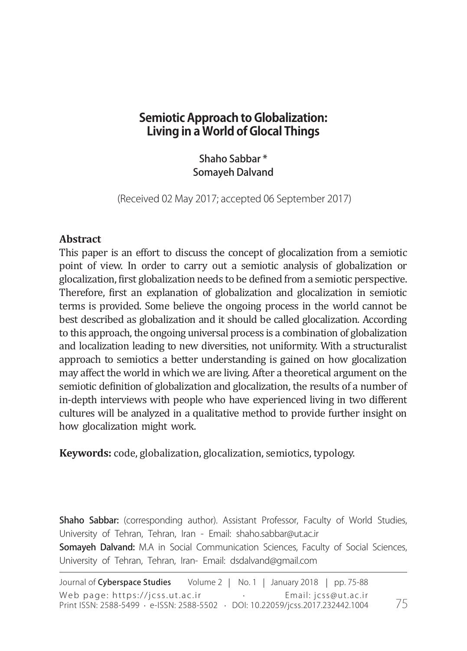# **Semiotic Approach to Globalization: Living in a World of Glocal Things**

Shaho Sabbar \* Somayeh Dalvand

(Received 02 May 2017; accepted 06 September 2017)

### **Abstract**

This paper is an effort to discuss the concept of glocalization from a semiotic point of view. In order to carry out a semiotic analysis of globalization or glocalization, first globalization needs to be defined from a semiotic perspective. Therefore, first an explanation of globalization and glocalization in semiotic terms is provided. Some believe the ongoing process in the world cannot be best described as globalization and it should be called glocalization. According to this approach, the ongoing universal process is a combination of globalization and localization leading to new diversities, not uniformity. With a structuralist approach to semiotics a better understanding is gained on how glocalization may affect the world in which we are living. After a theoretical argument on the semiotic definition of globalization and glocalization, the results of a number of in-depth interviews with people who have experienced living in two different cultures will be analyzed in a qualitative method to provide further insight on how glocalization might work.

**Keywords:** code, globalization, glocalization, semiotics, typology.

Shaho Sabbar: (corresponding author). Assistant Professor, Faculty of World Studies, University of Tehran, Tehran, Iran - Email: shaho.sabbar@ut.ac.ir Somayeh Dalvand: M.A in Social Communication Sciences, Faculty of Social Sciences, University of Tehran, Tehran, Iran- Email: dsdalvand@gmail.com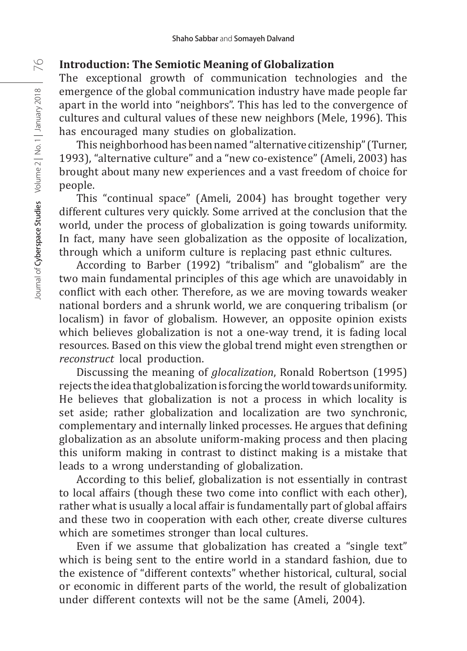### **Introduction: The Semiotic Meaning of Globalization**

The exceptional growth of communication technologies and the emergence of the global communication industry have made people far apart in the world into "neighbors". This has led to the convergence of cultures and cultural values of these new neighbors (Mele, 1996). This has encouraged many studies on globalization.

This neighborhood has been named "alternative citizenship" (Turner, 1993), "alternative culture" and a "new co-existence" (Ameli, 2003) has brought about many new experiences and a vast freedom of choice for people.

This "continual space" (Ameli, 2004) has brought together very different cultures very quickly. Some arrived at the conclusion that the world, under the process of globalization is going towards uniformity. In fact, many have seen globalization as the opposite of localization, through which a uniform culture is replacing past ethnic cultures.

According to Barber (1992) "tribalism" and "globalism" are the two main fundamental principles of this age which are unavoidably in conflict with each other. Therefore, as we are moving towards weaker national borders and a shrunk world, we are conquering tribalism (or localism) in favor of globalism. However, an opposite opinion exists which believes globalization is not a one-way trend, it is fading local resources. Based on this view the global trend might even strengthen or *reconstruct* local production.

Discussing the meaning of *glocalization*, Ronald Robertson (1995) rejects the idea that globalization is forcing the world towards uniformity. He believes that globalization is not a process in which locality is set aside; rather globalization and localization are two synchronic, complementary and internally linked processes. He argues that defining globalization as an absolute uniform-making process and then placing this uniform making in contrast to distinct making is a mistake that leads to a wrong understanding of globalization.

According to this belief, globalization is not essentially in contrast to local affairs (though these two come into conflict with each other), rather what is usually a local affair is fundamentally part of global affairs and these two in cooperation with each other, create diverse cultures which are sometimes stronger than local cultures.

Even if we assume that globalization has created a "single text" which is being sent to the entire world in a standard fashion, due to the existence of "different contexts" whether historical, cultural, social or economic in different parts of the world, the result of globalization under different contexts will not be the same (Ameli, 2004).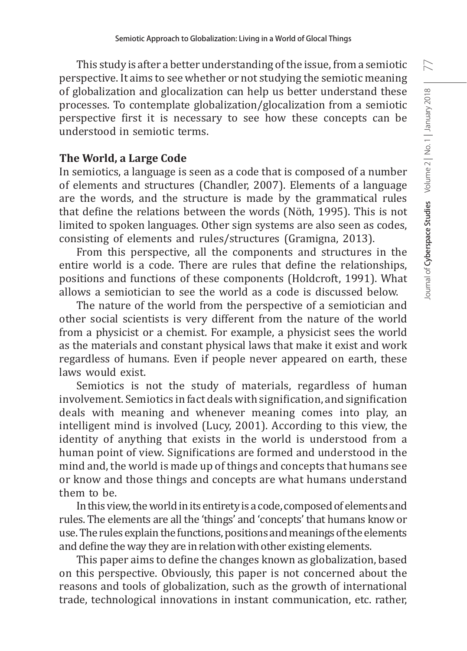This study is after a better understanding of the issue, from a semiotic perspective. It aims to see whether or not studying the semiotic meaning of globalization and glocalization can help us better understand these processes. To contemplate globalization/glocalization from a semiotic perspective first it is necessary to see how these concepts can be understood in semiotic terms.

#### **The World, a Large Code**

In semiotics, a language is seen as a code that is composed of a number of elements and structures (Chandler, 2007). Elements of a language are the words, and the structure is made by the grammatical rules that define the relations between the words (Nöth, 1995). This is not limited to spoken languages. Other sign systems are also seen as codes, consisting of elements and rules/structures (Gramigna, 2013).

From this perspective, all the components and structures in the entire world is a code. There are rules that define the relationships, positions and functions of these components (Holdcroft, 1991). What allows a semiotician to see the world as a code is discussed below.

The nature of the world from the perspective of a semiotician and other social scientists is very different from the nature of the world from a physicist or a chemist. For example, a physicist sees the world as the materials and constant physical laws that make it exist and work regardless of humans. Even if people never appeared on earth, these laws would exist.

Semiotics is not the study of materials, regardless of human involvement. Semiotics in fact deals with signification, and signification deals with meaning and whenever meaning comes into play, an intelligent mind is involved (Lucy, 2001). According to this view, the identity of anything that exists in the world is understood from a human point of view. Significations are formed and understood in the mind and, the world is made up of things and concepts that humans see or know and those things and concepts are what humans understand them to be.

In this view, the world in its entirety is a code, composed of elements and rules. The elements are all the 'things' and 'concepts' that humans know or use. The rules explain the functions, positions and meanings of the elements and define the way they are in relation with other existing elements.

This paper aims to define the changes known as globalization, based on this perspective. Obviously, this paper is not concerned about the reasons and tools of globalization, such as the growth of international trade, technological innovations in instant communication, etc. rather,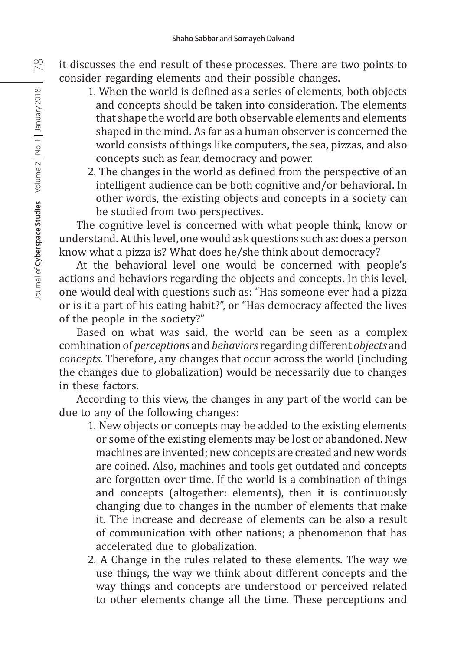- it discusses the end result of these processes. There are two points to consider regarding elements and their possible changes.
	- 1. When the world is defined as a series of elements, both objects and concepts should be taken into consideration. The elements that shape the world are both observable elements and elements shaped in the mind. As far as a human observer is concerned the world consists of things like computers, the sea, pizzas, and also concepts such as fear, democracy and power.
	- 2. The changes in the world as defined from the perspective of an intelligent audience can be both cognitive and/or behavioral. In other words, the existing objects and concepts in a society can be studied from two perspectives.

The cognitive level is concerned with what people think, know or understand. At this level, one would ask questions such as: does a person know what a pizza is? What does he/she think about democracy?

At the behavioral level one would be concerned with people's actions and behaviors regarding the objects and concepts. In this level, one would deal with questions such as: "Has someone ever had a pizza or is it a part of his eating habit?", or "Has democracy affected the lives of the people in the society?"

Based on what was said, the world can be seen as a complex combination of *perceptions* and *behaviors* regarding different *objects* and *concepts*. Therefore, any changes that occur across the world (including the changes due to globalization) would be necessarily due to changes in these factors.

According to this view, the changes in any part of the world can be due to any of the following changes:

- 1. New objects or concepts may be added to the existing elements or some of the existing elements may be lost or abandoned. New machines are invented; new concepts are created and new words are coined. Also, machines and tools get outdated and concepts are forgotten over time. If the world is a combination of things and concepts (altogether: elements), then it is continuously changing due to changes in the number of elements that make it. The increase and decrease of elements can be also a result of communication with other nations; a phenomenon that has accelerated due to globalization.
- 2. A Change in the rules related to these elements. The way we use things, the way we think about different concepts and the way things and concepts are understood or perceived related to other elements change all the time. These perceptions and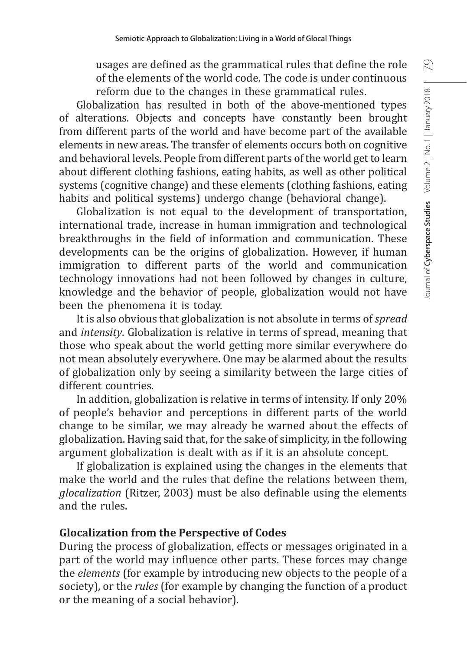usages are defined as the grammatical rules that define the role of the elements of the world code. The code is under continuous reform due to the changes in these grammatical rules.

Globalization has resulted in both of the above-mentioned types of alterations. Objects and concepts have constantly been brought from different parts of the world and have become part of the available elements in new areas. The transfer of elements occurs both on cognitive and behavioral levels. People from different parts of the world get to learn about different clothing fashions, eating habits, as well as other political systems (cognitive change) and these elements (clothing fashions, eating habits and political systems) undergo change (behavioral change).

Globalization is not equal to the development of transportation, international trade, increase in human immigration and technological breakthroughs in the field of information and communication. These developments can be the origins of globalization. However, if human immigration to different parts of the world and communication technology innovations had not been followed by changes in culture, knowledge and the behavior of people, globalization would not have been the phenomena it is today.

It is also obvious that globalization is not absolute in terms of *spread* and *intensity*. Globalization is relative in terms of spread, meaning that those who speak about the world getting more similar everywhere do not mean absolutely everywhere. One may be alarmed about the results of globalization only by seeing a similarity between the large cities of different countries.

In addition, globalization is relative in terms of intensity. If only 20% of people's behavior and perceptions in different parts of the world change to be similar, we may already be warned about the effects of globalization. Having said that, for the sake of simplicity, in the following argument globalization is dealt with as if it is an absolute concept.

If globalization is explained using the changes in the elements that make the world and the rules that define the relations between them, *glocalization* (Ritzer, 2003) must be also definable using the elements and the rules.

### **Glocalization from the Perspective of Codes**

During the process of globalization, effects or messages originated in a part of the world may influence other parts. These forces may change the *elements* (for example by introducing new objects to the people of a society), or the *rules* (for example by changing the function of a product or the meaning of a social behavior).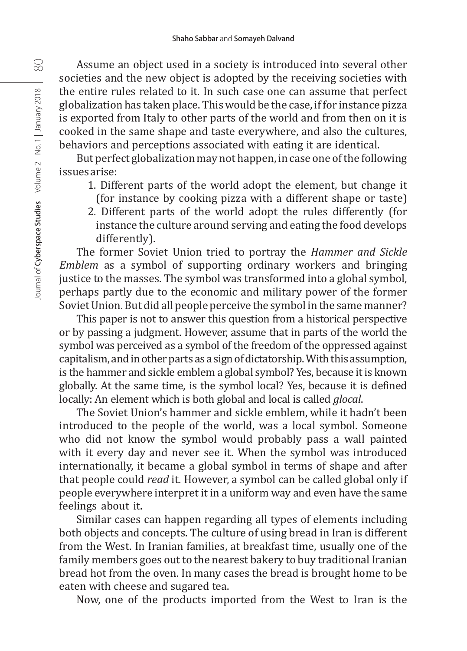Assume an object used in a society is introduced into several other societies and the new object is adopted by the receiving societies with the entire rules related to it. In such case one can assume that perfect globalization has taken place. This would be the case, if for instance pizza is exported from Italy to other parts of the world and from then on it is cooked in the same shape and taste everywhere, and also the cultures, behaviors and perceptions associated with eating it are identical.

But perfect globalization may not happen, in case one of the following issues arise:

- 1. Different parts of the world adopt the element, but change it (for instance by cooking pizza with a different shape or taste)
- 2. Different parts of the world adopt the rules differently (for instance the culture around serving and eating the food develops differently).

The former Soviet Union tried to portray the *Hammer and Sickle Emblem* as a symbol of supporting ordinary workers and bringing justice to the masses. The symbol was transformed into a global symbol, perhaps partly due to the economic and military power of the former Soviet Union. But did all people perceive the symbol in the same manner?

This paper is not to answer this question from a historical perspective or by passing a judgment. However, assume that in parts of the world the symbol was perceived as a symbol of the freedom of the oppressed against capitalism, and in other parts as a sign of dictatorship.With this assumption, is the hammer and sickle emblem a global symbol? Yes, because it is known globally. At the same time, is the symbol local? Yes, because it is defined locally: An element which is both global and local is called *glocal*.

The Soviet Union's hammer and sickle emblem, while it hadn't been introduced to the people of the world, was a local symbol. Someone who did not know the symbol would probably pass a wall painted with it every day and never see it. When the symbol was introduced internationally, it became a global symbol in terms of shape and after that people could *read* it. However, a symbol can be called global only if people everywhere interpret it in a uniform way and even have the same feelings about it.

Similar cases can happen regarding all types of elements including both objects and concepts. The culture of using bread in Iran is different from the West. In Iranian families, at breakfast time, usually one of the family members goes out to the nearest bakery to buy traditional Iranian bread hot from the oven. In many cases the bread is brought home to be eaten with cheese and sugared tea.

Now, one of the products imported from the West to Iran is the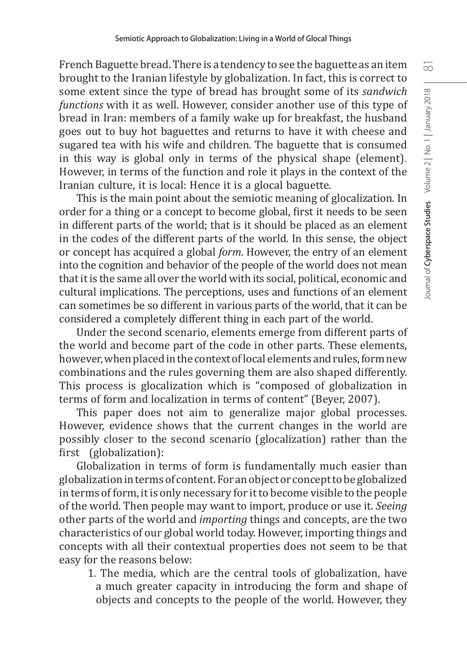French Baguette bread. There is a tendency to see the baguette as an item brought to the Iranian lifestyle by globalization. In fact, this is correct to some extent since the type of bread has brought some of its *sandwich functions* with it as well. However, consider another use of this type of bread in Iran: members of a family wake up for breakfast, the husband goes out to buy hot baguettes and returns to have it with cheese and sugared tea with his wife and children. The baguette that is consumed in this way is global only in terms of the physical shape (element). However, in terms of the function and role it plays in the context of the Iranian culture, it is local: Hence it is a glocal baguette.

This is the main point about the semiotic meaning of glocalization. In order for a thing or a concept to become global, first it needs to be seen in different parts of the world; that is it should be placed as an element in the codes of the different parts of the world. In this sense, the object or concept has acquired a global *form*. However, the entry of an element into the cognition and behavior of the people of the world does not mean that it is the same all over the world with its social, political, economic and cultural implications. The perceptions, uses and functions of an element can sometimes be so different in various parts of the world, that it can be considered a completely different thing in each part of the world.

Under the second scenario, elements emerge from different parts of the world and become part of the code in other parts. These elements, however, when placed in the context of local elements and rules, form new combinations and the rules governing them are also shaped differently. This process is glocalization which is "composed of globalization in terms of form and localization in terms of content" (Beyer, 2007).

This paper does not aim to generalize major global processes. However, evidence shows that the current changes in the world are possibly closer to the second scenario (glocalization) rather than the first (globalization):

Globalization in terms of form is fundamentally much easier than globalization in terms of content. For an object or concept to be globalized in terms of form, it is only necessary for it to become visible to the people of the world. Then people may want to import, produce or use it. *Seeing* other parts of the world and *importing* things and concepts, are the two characteristics of our global world today. However, importing things and concepts with all their contextual properties does not seem to be that easy for the reasons below:

1. The media, which are the central tools of globalization, have a much greater capacity in introducing the form and shape of objects and concepts to the people of the world. However, they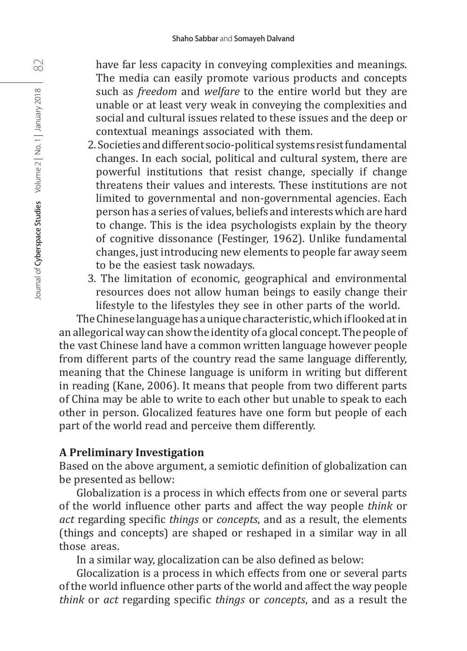have far less capacity in conveying complexities and meanings. The media can easily promote various products and concepts such as *freedom* and *welfare* to the entire world but they are unable or at least very weak in conveying the complexities and social and cultural issues related to these issues and the deep or contextual meanings associated with them.

- 2. Societies and different socio-political systems resist fundamental changes. In each social, political and cultural system, there are powerful institutions that resist change, specially if change threatens their values and interests. These institutions are not limited to governmental and non-governmental agencies. Each person has a series of values, beliefs and interests which are hard to change. This is the idea psychologists explain by the theory of cognitive dissonance (Festinger, 1962). Unlike fundamental changes, just introducing new elements to people far away seem to be the easiest task nowadays.
- 3. The limitation of economic, geographical and environmental resources does not allow human beings to easily change their lifestyle to the lifestyles they see in other parts of the world.

The Chinese language has a unique characteristic, which if looked at in an allegorical way can show the identity of a glocal concept. The people of the vast Chinese land have a common written language however people from different parts of the country read the same language differently, meaning that the Chinese language is uniform in writing but different in reading (Kane, 2006). It means that people from two different parts of China may be able to write to each other but unable to speak to each other in person. Glocalized features have one form but people of each part of the world read and perceive them differently.

### **A Preliminary Investigation**

Based on the above argument, a semiotic definition of globalization can be presented as bellow:

Globalization is a process in which effects from one or several parts of the world influence other parts and affect the way people *think* or *act* regarding specific *things* or *concepts*, and as a result, the elements (things and concepts) are shaped or reshaped in a similar way in all those areas.

In a similar way, glocalization can be also defined as below:

Glocalization is a process in which effects from one or several parts of the world influence other parts of the world and affect the way people *think* or *act* regarding specific *things* or *concepts*, and as a result the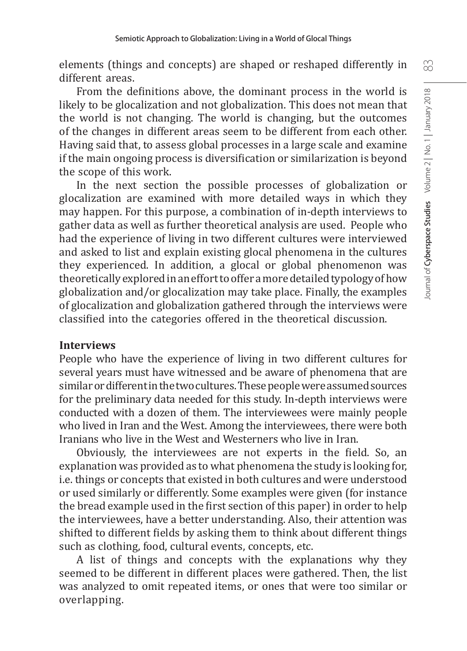elements (things and concepts) are shaped or reshaped differently in different areas.

From the definitions above, the dominant process in the world is likely to be glocalization and not globalization. This does not mean that the world is not changing. The world is changing, but the outcomes of the changes in different areas seem to be different from each other. Having said that, to assess global processes in a large scale and examine if the main ongoing process is diversification or similarization is beyond the scope of this work.

In the next section the possible processes of globalization or glocalization are examined with more detailed ways in which they may happen. For this purpose, a combination of in-depth interviews to gather data as well as further theoretical analysis are used. People who had the experience of living in two different cultures were interviewed and asked to list and explain existing glocal phenomena in the cultures they experienced. In addition, a glocal or global phenomenon was theoretically explored in an effort to offer a more detailed typology of how globalization and/or glocalization may take place. Finally, the examples of glocalization and globalization gathered through the interviews were classified into the categories offered in the theoretical discussion.

### **Interviews**

People who have the experience of living in two different cultures for several years must have witnessed and be aware of phenomena that are similar or different in the two cultures. These people were assumed sources for the preliminary data needed for this study. In-depth interviews were conducted with a dozen of them. The interviewees were mainly people who lived in Iran and the West. Among the interviewees, there were both Iranians who live in the West and Westerners who live in Iran.

Obviously, the interviewees are not experts in the field. So, an explanation was provided as to what phenomena the study is looking for, i.e. things or concepts that existed in both cultures and were understood or used similarly or differently. Some examples were given (for instance the bread example used in the first section of this paper) in order to help the interviewees, have a better understanding. Also, their attention was shifted to different fields by asking them to think about different things such as clothing, food, cultural events, concepts, etc.

A list of things and concepts with the explanations why they seemed to be different in different places were gathered. Then, the list was analyzed to omit repeated items, or ones that were too similar or overlapping.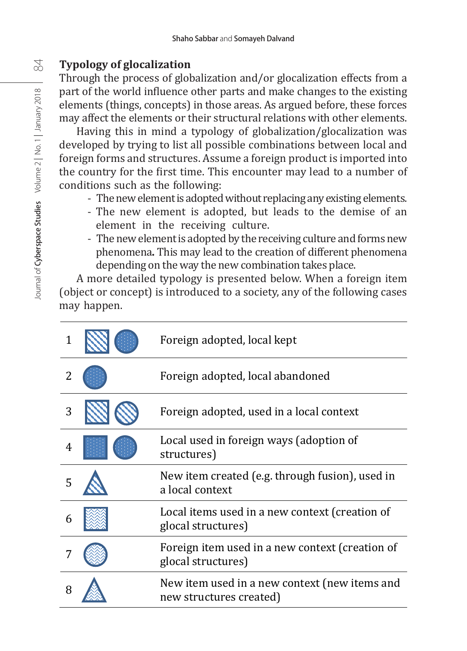## **Typology of glocalization**

Through the process of globalization and/or glocalization effects from a part of the world influence other parts and make changes to the existing elements (things, concepts) in those areas. As argued before, these forces may affect the elements or their structural relations with other elements.

Having this in mind a typology of globalization/glocalization was developed by trying to list all possible combinations between local and foreign forms and structures. Assume a foreign product is imported into the country for the first time. This encounter may lead to a number of conditions such as the following:

- The new element is adopted without replacing any existing elements.
- The new element is adopted, but leads to the demise of an element in the receiving culture.
- The new element is adopted by the receiving culture and forms new phenomena**.** This may lead to the creation of different phenomena depending on the way the new combination takes place.

A more detailed typology is presented below. When a foreign item (object or concept) is introduced to a society, any of the following cases may happen.

|   | Foreign adopted, local kept                                              |
|---|--------------------------------------------------------------------------|
|   | Foreign adopted, local abandoned                                         |
| 3 | Foreign adopted, used in a local context                                 |
|   | Local used in foreign ways (adoption of<br>structures)                   |
|   | New item created (e.g. through fusion), used in<br>a local context       |
| 6 | Local items used in a new context (creation of<br>glocal structures)     |
|   | Foreign item used in a new context (creation of<br>glocal structures)    |
|   | New item used in a new context (new items and<br>new structures created) |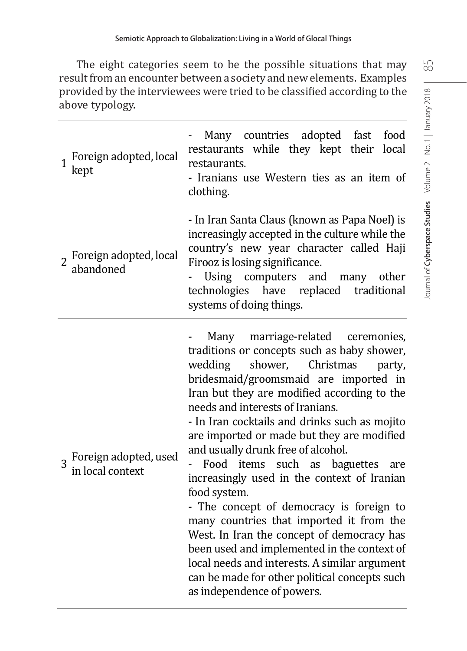The eight categories seem to be the possible situations that may result from an encounter between a society and new elements. Examples from an encounter between a society and new elements. Examples provided by the interviewees were tried to be classified according to the provided by the interviewees were tried to be classified according to the above typology. above typology.

| Foreign adopted, local<br>$\mathbf{1}$<br>kept | Many countries adopted fast<br>food<br>restaurants while they kept their local<br>restaurants.<br>- Iranians use Western ties as an item of<br>clothing.                                                                                                                                                                                                                                                                                                                                                                                                                                                                                                                                                                                                                                                                     |
|------------------------------------------------|------------------------------------------------------------------------------------------------------------------------------------------------------------------------------------------------------------------------------------------------------------------------------------------------------------------------------------------------------------------------------------------------------------------------------------------------------------------------------------------------------------------------------------------------------------------------------------------------------------------------------------------------------------------------------------------------------------------------------------------------------------------------------------------------------------------------------|
| 2 Foreign adopted, local<br>abandoned          | - In Iran Santa Claus (known as Papa Noel) is<br>increasingly accepted in the culture while the<br>country's new year character called Haji<br>Firooz is losing significance.<br>Using computers and many other<br>technologies have replaced traditional<br>systems of doing things.                                                                                                                                                                                                                                                                                                                                                                                                                                                                                                                                        |
| 3 Foreign adopted, used<br>in local context    | Many marriage-related ceremonies,<br>traditions or concepts such as baby shower,<br>shower, Christmas<br>wedding<br>party,<br>bridesmaid/groomsmaid are imported in<br>Iran but they are modified according to the<br>needs and interests of Iranians.<br>- In Iran cocktails and drinks such as mojito<br>are imported or made but they are modified<br>and usually drunk free of alcohol.<br>items such as<br>Food<br>baguettes<br>are<br>increasingly used in the context of Iranian<br>food system.<br>- The concept of democracy is foreign to<br>many countries that imported it from the<br>West. In Iran the concept of democracy has<br>been used and implemented in the context of<br>local needs and interests. A similar argument<br>can be made for other political concepts such<br>as independence of powers. |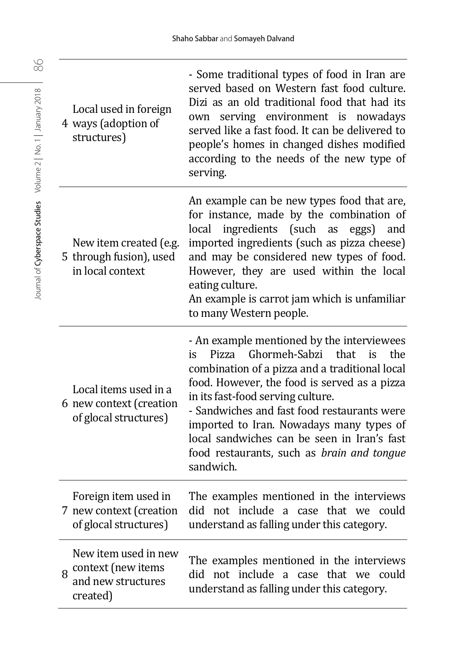| Local used in foreign<br>4 ways (adoption of<br>structures)                       | - Some traditional types of food in Iran are<br>served based on Western fast food culture.<br>Dizi as an old traditional food that had its<br>serving environment is nowadays<br>own<br>served like a fast food. It can be delivered to<br>people's homes in changed dishes modified<br>according to the needs of the new type of<br>serving.                                                                                               |
|-----------------------------------------------------------------------------------|---------------------------------------------------------------------------------------------------------------------------------------------------------------------------------------------------------------------------------------------------------------------------------------------------------------------------------------------------------------------------------------------------------------------------------------------|
| New item created (e.g.<br>5 through fusion), used<br>in local context             | An example can be new types food that are,<br>for instance, made by the combination of<br>ingredients (such as eggs)<br>and<br>local<br>imported ingredients (such as pizza cheese)<br>and may be considered new types of food.<br>However, they are used within the local<br>eating culture.<br>An example is carrot jam which is unfamiliar<br>to many Western people.                                                                    |
| Local items used in a<br>6 new context (creation<br>of glocal structures)         | - An example mentioned by the interviewees<br>Ghormeh-Sabzi<br>that<br>the<br>Pizza<br>is<br>is<br>combination of a pizza and a traditional local<br>food. However, the food is served as a pizza<br>in its fast-food serving culture.<br>- Sandwiches and fast food restaurants were<br>imported to Iran. Nowadays many types of<br>local sandwiches can be seen in Iran's fast<br>food restaurants, such as brain and tongue<br>sandwich. |
| Foreign item used in<br>7 new context (creation<br>of glocal structures)          | The examples mentioned in the interviews<br>did not include a case that we could<br>understand as falling under this category.                                                                                                                                                                                                                                                                                                              |
| New item used in new<br>context (new items<br>8<br>and new structures<br>created) | The examples mentioned in the interviews<br>did not include a case that we could<br>understand as falling under this category.                                                                                                                                                                                                                                                                                                              |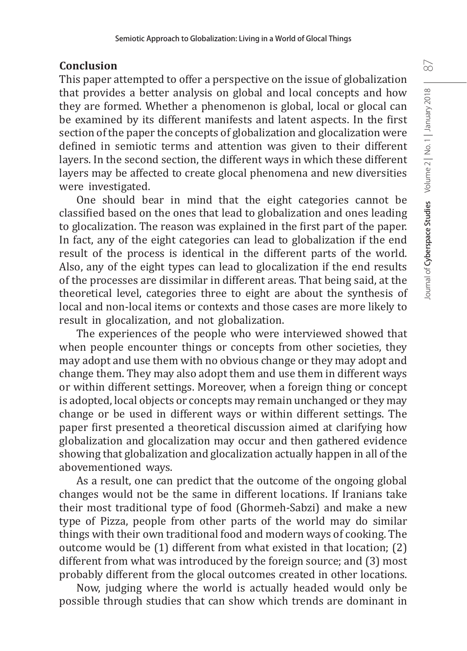### **Conclusion**

This paper attempted to offer a perspective on the issue of globalization that provides a better analysis on global and local concepts and how they are formed. Whether a phenomenon is global, local or glocal can be examined by its different manifests and latent aspects. In the first section of the paper the concepts of globalization and glocalization were defined in semiotic terms and attention was given to their different layers. In the second section, the different ways in which these different layers may be affected to create glocal phenomena and new diversities were investigated.

One should bear in mind that the eight categories cannot be classified based on the ones that lead to globalization and ones leading to glocalization. The reason was explained in the first part of the paper. In fact, any of the eight categories can lead to globalization if the end result of the process is identical in the different parts of the world. Also, any of the eight types can lead to glocalization if the end results of the processes are dissimilar in different areas. That being said, at the theoretical level, categories three to eight are about the synthesis of local and non-local items or contexts and those cases are more likely to result in glocalization, and not globalization.

The experiences of the people who were interviewed showed that when people encounter things or concepts from other societies, they may adopt and use them with no obvious change or they may adopt and change them. They may also adopt them and use them in different ways or within different settings. Moreover, when a foreign thing or concept is adopted, local objects or concepts may remain unchanged or they may change or be used in different ways or within different settings. The paper first presented a theoretical discussion aimed at clarifying how globalization and glocalization may occur and then gathered evidence showing that globalization and glocalization actually happen in all of the abovementioned ways.

As a result, one can predict that the outcome of the ongoing global changes would not be the same in different locations. If Iranians take their most traditional type of food (Ghormeh-Sabzi) and make a new type of Pizza, people from other parts of the world may do similar things with their own traditional food and modern ways of cooking. The outcome would be (1) different from what existed in that location; (2) different from what was introduced by the foreign source; and (3) most probably different from the glocal outcomes created in other locations.

Now, judging where the world is actually headed would only be possible through studies that can show which trends are dominant in